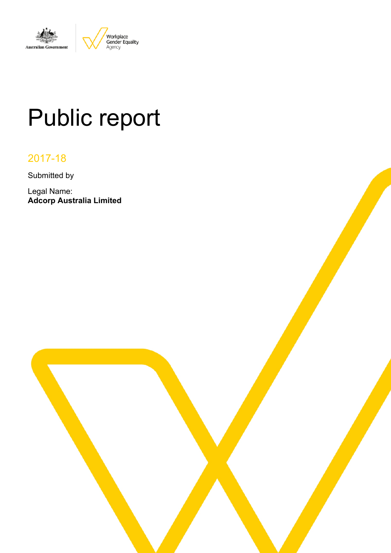

# Public report

# 2017-18

Submitted by

Legal Name: **Adcorp Australia Limited**

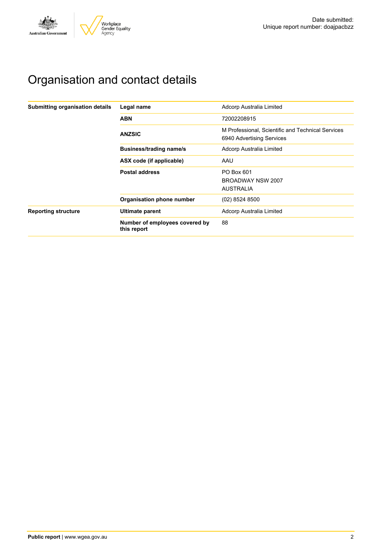

# Organisation and contact details

| Submitting organisation details | Legal name                                    | Adcorp Australia Limited                                                       |
|---------------------------------|-----------------------------------------------|--------------------------------------------------------------------------------|
|                                 | <b>ABN</b>                                    | 72002208915                                                                    |
|                                 | <b>ANZSIC</b>                                 | M Professional. Scientific and Technical Services<br>6940 Advertising Services |
|                                 | <b>Business/trading name/s</b>                | Adcorp Australia Limited                                                       |
|                                 | ASX code (if applicable)                      | AAU                                                                            |
|                                 | <b>Postal address</b>                         | PO Box 601                                                                     |
|                                 |                                               | BROADWAY NSW 2007                                                              |
|                                 |                                               | <b>AUSTRALIA</b>                                                               |
|                                 | Organisation phone number                     | (02) 8524 8500                                                                 |
| <b>Reporting structure</b>      | Ultimate parent                               | Adcorp Australia Limited                                                       |
|                                 | Number of employees covered by<br>this report | 88                                                                             |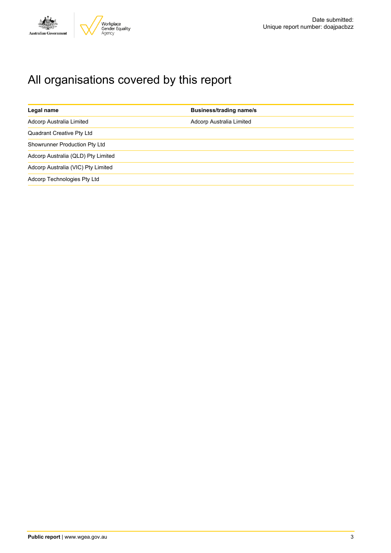

# All organisations covered by this report

| Legal name                         | <b>Business/trading name/s</b> |
|------------------------------------|--------------------------------|
| Adcorp Australia Limited           | Adcorp Australia Limited       |
| <b>Quadrant Creative Pty Ltd</b>   |                                |
| Showrunner Production Pty Ltd      |                                |
| Adcorp Australia (QLD) Pty Limited |                                |
| Adcorp Australia (VIC) Pty Limited |                                |
| Adcorp Technologies Pty Ltd        |                                |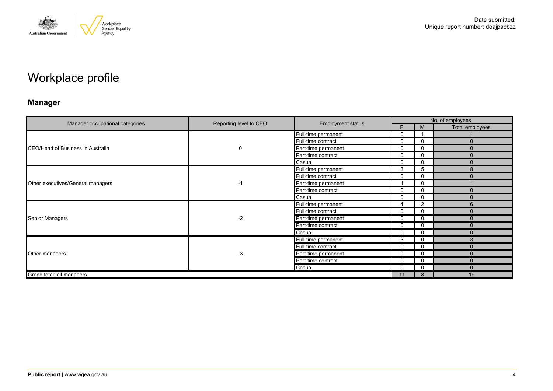

# Workplace profile

### **Manager**

|                                   |                        |                          | No. of employees |              |                 |  |
|-----------------------------------|------------------------|--------------------------|------------------|--------------|-----------------|--|
| Manager occupational categories   | Reporting level to CEO | <b>Employment status</b> | F.               | M            | Total employees |  |
|                                   |                        | Full-time permanent      | 0                |              |                 |  |
|                                   |                        | Full-time contract       | 0                | 0            | $\Omega$        |  |
| CEO/Head of Business in Australia | 0                      | Part-time permanent      | 0                | 0            | $\Omega$        |  |
|                                   |                        | Part-time contract       | 0                | $\mathbf 0$  | $\Omega$        |  |
|                                   |                        | Casual                   | 0                | $\Omega$     | $\Omega$        |  |
| Other executives/General managers |                        | Full-time permanent      | 3                | 5            | 8               |  |
|                                   | -1                     | Full-time contract       | 0                | $\mathbf{0}$ | O               |  |
|                                   |                        | Part-time permanent      |                  | 0            |                 |  |
|                                   |                        | Part-time contract       | 0                | $\Omega$     | $\mathbf{0}$    |  |
|                                   |                        | <b>Casual</b>            | 0                | $\Omega$     | $\Omega$        |  |
|                                   | $-2$                   | Full-time permanent      | 4                | 2            | 6               |  |
|                                   |                        | Full-time contract       | 0                | 0            | O               |  |
| Senior Managers                   |                        | Part-time permanent      | $\mathbf{0}$     | $\mathbf{0}$ | $\Omega$        |  |
|                                   |                        | Part-time contract       | 0                | 0            | $\Omega$        |  |
|                                   |                        | Casual                   | $\mathbf{0}$     | $\Omega$     | $\Omega$        |  |
|                                   |                        | Full-time permanent      | 3                | $\mathbf{0}$ | 3               |  |
|                                   |                        | Full-time contract       | 0                | $\mathbf 0$  | $\Omega$        |  |
| Other managers                    | $-3$                   | Part-time permanent      | 0                | $\mathbf{0}$ | $\Omega$        |  |
|                                   |                        | Part-time contract       | $\mathbf{0}$     | 0            | $\Omega$        |  |
|                                   |                        | Casual                   | 0                | 0            | ŋ               |  |
| Grand total: all managers         |                        |                          | 11               | 8            | 19              |  |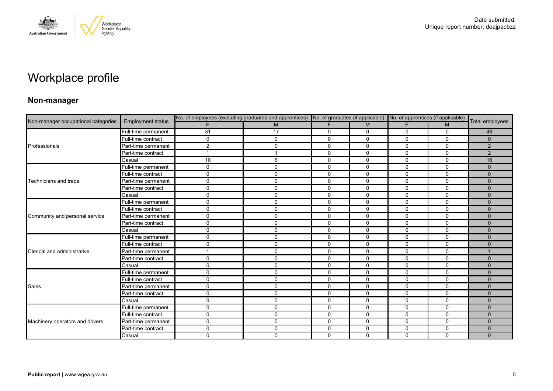

# Workplace profile

### **Non-manager**

|                                     |                          | No. of employees (excluding graduates and apprentices) No. of graduates (if applicable) No. of apprentices (if applicable) |             |             |              |              |              |                 |
|-------------------------------------|--------------------------|----------------------------------------------------------------------------------------------------------------------------|-------------|-------------|--------------|--------------|--------------|-----------------|
| Non-manager occupational categories | <b>Employment status</b> |                                                                                                                            | M           |             | M            |              | M            | Total employees |
|                                     | Full-time permanent      | 31                                                                                                                         | 17          | 0           | 0            | 0            | 0            | 48              |
|                                     | Full-time contract       | $\Omega$                                                                                                                   | $\mathbf 0$ | $\mathbf 0$ | $\Omega$     | $\Omega$     | $\mathbf{0}$ | $\Omega$        |
| Professionals                       | Part-time permanent      | $\overline{2}$                                                                                                             | 0           | $\mathbf 0$ | 0            | 0            | $\mathbf 0$  | $\overline{2}$  |
|                                     | Part-time contract       |                                                                                                                            |             | 0           | 0            | 0            | $\Omega$     | $\overline{2}$  |
|                                     | Casual                   | 10                                                                                                                         | 6           | $\Omega$    | $\Omega$     | $\mathbf{0}$ | $\mathbf{0}$ | 16              |
|                                     | Full-time permanent      | $\mathbf 0$                                                                                                                | 0           | $\mathbf 0$ | $\mathbf 0$  | 0            | $\mathbf{0}$ | $\Omega$        |
|                                     | Full-time contract       | $\Omega$                                                                                                                   | $\mathbf 0$ | 0           | 0            | $\mathbf 0$  | $\mathbf 0$  | $\mathbf{0}$    |
| Technicians and trade               | Part-time permanent      | $\mathbf 0$                                                                                                                | 0           | $\mathbf 0$ | $\mathbf 0$  | $\mathbf 0$  | 0            | $\mathbf{0}$    |
|                                     | Part-time contract       | $\Omega$                                                                                                                   | $\mathbf 0$ | $\mathbf 0$ | $\Omega$     | $\Omega$     | $\mathbf{0}$ | $\Omega$        |
|                                     | Casual                   | $\mathbf 0$                                                                                                                | 0           | $\mathbf 0$ | $\mathbf 0$  | $\mathbf 0$  | $\mathbf 0$  | $\Omega$        |
|                                     | Full-time permanent      | $\mathbf 0$                                                                                                                | 0           | $\mathbf 0$ | $\mathbf{0}$ | $\Omega$     | $\Omega$     | $\Omega$        |
|                                     | Full-time contract       | $\Omega$                                                                                                                   | $\mathbf 0$ | $\mathbf 0$ | 0            | 0            | 0            | $\Omega$        |
| Community and personal service      | Part-time permanent      | $\mathbf 0$                                                                                                                | $\mathbf 0$ | $\mathbf 0$ | $\mathbf 0$  | $\mathbf 0$  | $\mathbf 0$  | $\Omega$        |
|                                     | Part-time contract       | $\mathbf 0$                                                                                                                | $\mathbf 0$ | $\mathbf 0$ | $\mathbf 0$  | $\mathbf 0$  | $\Omega$     | $\mathbf{0}$    |
|                                     | Casual                   | $\Omega$                                                                                                                   | $\mathbf 0$ | $\mathbf 0$ | $\Omega$     | $\Omega$     | $\mathbf{0}$ | $\Omega$        |
|                                     | Full-time permanent      | $\Omega$                                                                                                                   | $\mathbf 0$ | $\mathbf 0$ | $\Omega$     | $\mathbf 0$  | $\mathbf{0}$ | $\Omega$        |
|                                     | Full-time contract       | $\mathbf 0$                                                                                                                | 0           | $\mathbf 0$ | 0            | $\mathbf 0$  | 0            | $\mathbf{0}$    |
| Clerical and administrative         | Part-time permanent      |                                                                                                                            | $\mathbf 0$ | $\mathbf 0$ | $\Omega$     | $\Omega$     | $\mathbf{0}$ |                 |
|                                     | Part-time contract       | 0                                                                                                                          | $\mathbf 0$ | $\mathbf 0$ | $\mathbf 0$  | $\mathbf 0$  | 0            | $\Omega$        |
|                                     | Casual                   | $\mathbf 0$                                                                                                                | 0           | 0           | $\mathbf 0$  | 0            | 0            | $\mathbf{0}$    |
|                                     | Full-time permanent      | $\mathbf 0$                                                                                                                | $\mathbf 0$ | $\mathbf 0$ | $\mathbf 0$  | $\mathbf 0$  | $\mathbf 0$  | $\mathbf{0}$    |
|                                     | Full-time contract       | $\mathbf 0$                                                                                                                | 0           | $\mathbf 0$ | $\Omega$     | $\Omega$     | $\Omega$     | $\Omega$        |
| Sales                               | Part-time permanent      | 0                                                                                                                          | $\mathbf 0$ | $\mathbf 0$ | 0            | $\mathbf 0$  | $\mathbf 0$  | $\mathbf{0}$    |
|                                     | Part-time contract       | $\mathbf 0$                                                                                                                | 0           | $\mathbf 0$ | $\mathbf 0$  | $\mathbf 0$  | $\mathbf 0$  | $\mathbf{0}$    |
|                                     | Casual                   | $\mathbf 0$                                                                                                                | 0           | $\mathbf 0$ | 0            | 0            | $\Omega$     | $\Omega$        |
|                                     | Full-time permanent      | $\Omega$                                                                                                                   | $\mathbf 0$ | 0           | 0            | 0            | 0            | $\mathbf{0}$    |
|                                     | Full-time contract       | $\mathbf 0$                                                                                                                | $\mathbf 0$ | $\mathbf 0$ | $\mathbf 0$  | $\mathbf 0$  | $\mathbf 0$  | $\Omega$        |
| Machinery operators and drivers     | Part-time permanent      | $\mathbf 0$                                                                                                                | $\mathbf 0$ | $\mathbf 0$ | $\mathbf 0$  | 0            | $\mathbf 0$  | $\Omega$        |
|                                     | Part-time contract       | $\Omega$                                                                                                                   | 0           | 0           | 0            | 0            | 0            | $\mathbf{0}$    |
|                                     | Casual                   | $\mathbf 0$                                                                                                                | $\mathbf 0$ | $\mathbf 0$ | $\Omega$     | $\Omega$     | $\mathbf 0$  | $\mathbf{0}$    |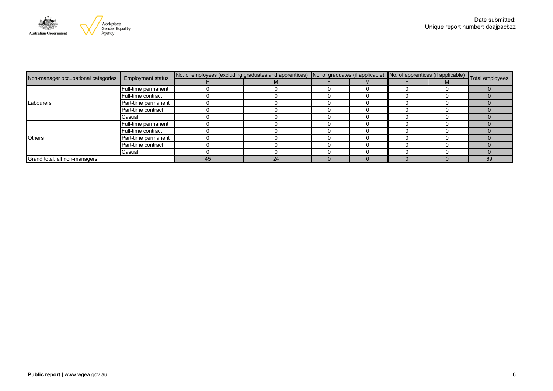

| Non-manager occupational categories | <b>Employment status</b> | No. of employees (excluding graduates and apprentices) No. of graduates (if applicable) No. of apprentices (if applicable) Total employees |    |  |  |  |  |    |
|-------------------------------------|--------------------------|--------------------------------------------------------------------------------------------------------------------------------------------|----|--|--|--|--|----|
|                                     |                          |                                                                                                                                            | М  |  |  |  |  |    |
|                                     | Full-time permanent      |                                                                                                                                            |    |  |  |  |  |    |
|                                     | Full-time contract       |                                                                                                                                            |    |  |  |  |  |    |
| Labourers                           | Part-time permanent      |                                                                                                                                            |    |  |  |  |  |    |
|                                     | Part-time contract       |                                                                                                                                            |    |  |  |  |  |    |
|                                     | Casual                   |                                                                                                                                            |    |  |  |  |  |    |
|                                     | Full-time permanent      |                                                                                                                                            |    |  |  |  |  |    |
|                                     | Full-time contract       |                                                                                                                                            |    |  |  |  |  |    |
| <b>Others</b>                       | Part-time permanent      |                                                                                                                                            |    |  |  |  |  |    |
|                                     | Part-time contract       |                                                                                                                                            |    |  |  |  |  |    |
|                                     | Casual                   |                                                                                                                                            |    |  |  |  |  |    |
| Grand total: all non-managers       |                          | 45                                                                                                                                         | 24 |  |  |  |  | 69 |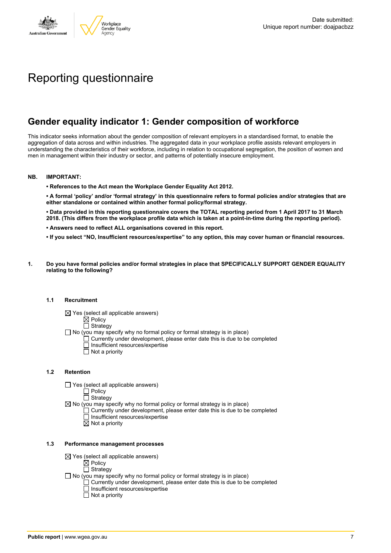

# Reporting questionnaire

### **Gender equality indicator 1: Gender composition of workforce**

This indicator seeks information about the gender composition of relevant employers in a standardised format, to enable the aggregation of data across and within industries. The aggregated data in your workplace profile assists relevant employers in understanding the characteristics of their workforce, including in relation to occupational segregation, the position of women and men in management within their industry or sector, and patterns of potentially insecure employment.

#### **NB. IMPORTANT:**

**• References to the Act mean the Workplace Gender Equality Act 2012.**

• A formal 'policy' and/or 'formal strategy' in this questionnaire refers to formal policies and/or strategies that are **either standalone or contained within another formal policy/formal strategy.**

• Data provided in this reporting questionnaire covers the TOTAL reporting period from 1 April 2017 to 31 March 2018. (This differs from the workplace profile data which is taken at a point-in-time during the reporting period).

- **• Answers need to reflect ALL organisations covered in this report.**
- . If you select "NO, Insufficient resources/expertise" to any option, this may cover human or financial resources.
- **1. Do you have formal policies and/or formal strategies in place that SPECIFICALLY SUPPORT GENDER EQUALITY relating to the following?**

#### **1.1 Recruitment**

- $\boxtimes$  Yes (select all applicable answers)
	- $\mathbb{\dot{A}}$  Policy
	- $\Box$  Strategy
- No (you may specify why no formal policy or formal strategy is in place)
	- $\Box$  Currently under development, please enter date this is due to be completed
		- $\overline{\Box}$  Insufficient resources/expertise
		- $\Box$  Not a priority

#### **1.2 Retention**

- $\Box$  Yes (select all applicable answers)
	- $\Box$  Policy
	- $\Box$  Strategy
- $\boxtimes$  No (you may specify why no formal policy or formal strategy is in place)
	- $\Box$  Currently under development, please enter date this is due to be completed
		- $\Box$  Insufficient resources/expertise
		- $\boxtimes$  Not a priority

#### **1.3 Performance management processes**

- $\boxtimes$  Yes (select all applicable answers)
	- **⊠** Policy
	- $\Box$  Strategy
- $\Box$  No (you may specify why no formal policy or formal strategy is in place)
	- $\Box$  Currently under development, please enter date this is due to be completed
	- $\Box$  Insufficient resources/expertise
	- $\Box$  Not a priority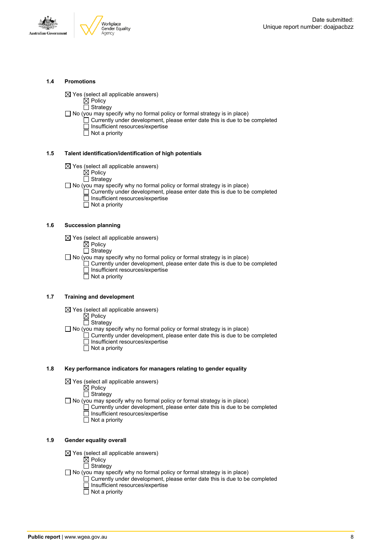

#### **1.4 Promotions**

 $\boxtimes$  Yes (select all applicable answers)

 $\boxtimes$  Policy  $\Box$  Strategy

- $\Box$  No (you may specify why no formal policy or formal strategy is in place)
	- $\Box$  Currently under development, please enter date this is due to be completed □ Insufficient resources/expertise
		- $\overline{\Box}$  Not a priority

#### **1.5 Talent identification/identification of high potentials**

- $\boxtimes$  Yes (select all applicable answers)
	- $\boxtimes$  Policy
	- $\overline{\Box}$  Strategy
- $\Box$  No (you may specify why no formal policy or formal strategy is in place)
	- Currently under development, please enter date this is due to be completed Insufficient resources/expertise
		- $\overline{\Box}$  Not a priority

#### **1.6 Succession planning**

- $\boxtimes$  Yes (select all applicable answers)
	- $\boxtimes$  Policy
	- $\overline{\Box}$  Strategy

 $\Box$  No (you may specify why no formal policy or formal strategy is in place)

- $\Box$  Currently under development, please enter date this is due to be completed Insufficient resources/expertise
- Not a priority

#### **1.7 Training and development**

- $\boxtimes$  Yes (select all applicable answers)
	- $\boxtimes$  Policy
		- $\Box$  Strategy
- $\Box$  No (you may specify why no formal policy or formal strategy is in place)
	- Currently under development, please enter date this is due to be completed Insufficient resources/expertise
		- $\Box$  Not a priority

#### **1.8 Key performance indicators for managers relating to gender equality**

- $\boxtimes$  Yes (select all applicable answers)
	- $\boxtimes$  Policy
	- $\Box$  Strategy

 $\Box$  No (you may specify why no formal policy or formal strategy is in place)

- $\Box$  Currently under development, please enter date this is due to be completed Insufficient resources/expertise
	- Not a priority

#### **1.9 Gender equality overall**

- $\boxtimes$  Yes (select all applicable answers)
	- $\boxtimes$  Policy
	- $\Box$  Strategy
- $\Box$  No (you may specify why no formal policy or formal strategy is in place)
	- $\Box$  Currently under development, please enter date this is due to be completed □ Insufficient resources/expertise
		- $\Box$  Not a priority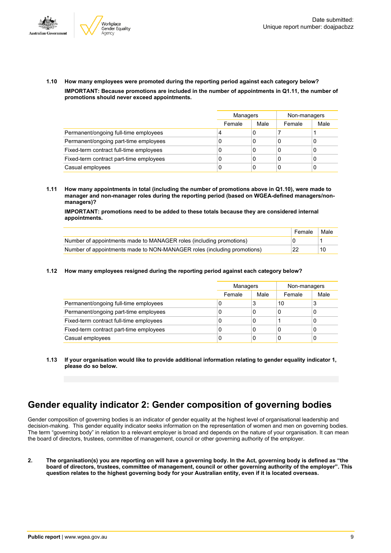



**1.10 How many employees were promoted during the reporting period against each category below? IMPORTANT: Because promotions are included in the number of appointments in Q1.11, the number of promotions should never exceed appointments.**

|                                         |        | Managers |        | Non-managers |
|-----------------------------------------|--------|----------|--------|--------------|
|                                         | Female | Male     | Female | Male         |
| Permanent/ongoing full-time employees   | 4      | 0        |        |              |
| Permanent/ongoing part-time employees   | C      | 0        | C      |              |
| Fixed-term contract full-time employees | U      | 0        | 0      |              |
| Fixed-term contract part-time employees | 0      | 0        | C      |              |
| Casual employees                        | 0      | 0        |        |              |

**1.11 How many appointments in total (including the number of promotions above in Q1.10), were made to manager and non-manager roles during the reporting period (based on WGEA-defined managers/nonmanagers)?**

**IMPORTANT: promotions need to be added to these totals because they are considered internal appointments.**

|                                                                         | Female | Male |
|-------------------------------------------------------------------------|--------|------|
| Number of appointments made to MANAGER roles (including promotions)     |        |      |
| Number of appointments made to NON-MANAGER roles (including promotions) | 22     | 10   |

#### **1.12 How many employees resigned during the reporting period against each category below?**

|                                         | Managers |      | Non-managers |      |  |
|-----------------------------------------|----------|------|--------------|------|--|
|                                         | Female   | Male | Female       | Male |  |
| Permanent/ongoing full-time employees   | 0        | 3    | 10           | 3    |  |
| Permanent/ongoing part-time employees   | 0        | 0    |              | 0    |  |
| Fixed-term contract full-time employees | 0        | 0    |              | 0    |  |
| Fixed-term contract part-time employees | 0        | 0    |              | 0    |  |
| Casual employees                        | 0        | 0    |              | 0    |  |

**1.13 If your organisation would like to provide additional information relating to gender equality indicator 1, please do so below.**

### **Gender equality indicator 2: Gender composition of governing bodies**

Gender composition of governing bodies is an indicator of gender equality at the highest level of organisational leadership and decision-making. This gender equality indicator seeks information on the representation of women and men on governing bodies. The term "governing body" in relation to a relevant employer is broad and depends on the nature of your organisation. It can mean the board of directors, trustees, committee of management, council or other governing authority of the employer.

2. The organisation(s) you are reporting on will have a governing body. In the Act, governing body is defined as "the board of directors, trustees, committee of management, council or other governing authority of the employer". This question relates to the highest governing body for your Australian entity, even if it is located overseas.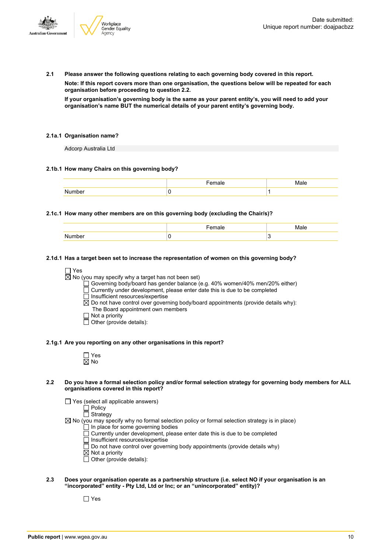

**2.1 Please answer the following questions relating to each governing body covered in this report.**

**Note: If this report covers more than one organisation, the questions below will be repeated for each organisation before proceeding to question 2.2.**

If your organisation's governing body is the same as your parent entity's, you will need to add your **organisation's name BUT the numerical details of your parent entity's governing body.**

#### **2.1a.1 Organisation name?**

Adcorp Australia Ltd

#### **2.1b.1 How many Chairs on this governing body?**

#### **2.1c.1 How many other members are on this governing body (excluding the Chair/s)?**

#### **2.1d.1 Has a target been set to increase the representation of women on this governing body?**

□ Yes

 $\overline{\boxtimes}$  No (you may specify why a target has not been set)

- Governing body/board has gender balance (e.g. 40% women/40% men/20% either)
- Currently under development, please enter date this is due to be completed
- $\Box$  Insufficient resources/expertise
- $\boxtimes$  Do not have control over governing body/board appointments (provide details why): The Board appointment own members
- $\Box$  Not a priority
- $\Box$  Other (provide details):

#### **2.1g.1 Are you reporting on any other organisations in this report?**

#### 2.2 Do you have a formal selection policy and/or formal selection strategy for governing body members for ALL **organisations covered in this report?**

 $\Box$  Yes (select all applicable answers)

 $\overline{\Box}$  Policy

 $\Box$  Strategy

 $\boxtimes$  No (you may specify why no formal selection policy or formal selection strategy is in place)

- $\Box$  In place for some governing bodies
- $\overline{\Box}$  Currently under development, please enter date this is due to be completed
- $\Box$  Insufficient resources/expertise
- $\Box$  Do not have control over governing body appointments (provide details why)
- $\boxtimes$  Not a priority
- $\Box$  Other (provide details):
- **2.3 Does your organisation operate as a partnership structure (i.e. select NO if your organisation is an "incorporated" entity - Pty Ltd, Ltd or Inc; or an "unincorporated" entity)?**

 $\Box$  Yes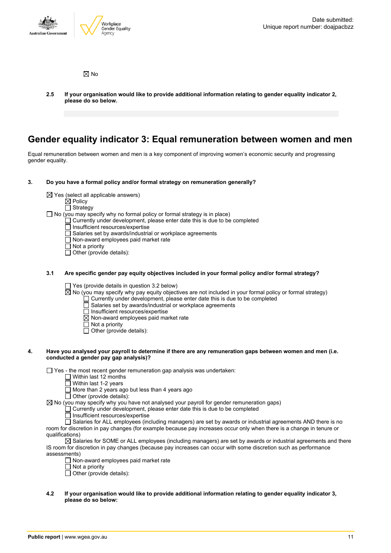

 $\boxtimes$  No

**2.5 If your organisation would like to provide additional information relating to gender equality indicator 2, please do so below.**

### **Gender equality indicator 3: Equal remuneration between women and men**

Equal remuneration between women and men is a key component of improving women's economic security and progressing gender equality.

#### **3. Do you have a formal policy and/or formal strategy on remuneration generally?**

 $\boxtimes$  Yes (select all applicable answers)

 $\mathbb{\dot{A}}$  Policy

□ Strategy  $\Box$  No (you may specify why no formal policy or formal strategy is in place)

- $\Box$  Currently under development, please enter date this is due to be completed
- $\overline{\Box}$  Insufficient resources/expertise
- Salaries set by awards/industrial or workplace agreements
- Non-award employees paid market rate
- □ Not a priority
- $\Box$  Other (provide details):

#### **3.1 Are specific gender pay equity objectives included in your formal policy and/or formal strategy?**

 $\Box$  Yes (provide details in question 3.2 below)

 $\boxtimes$  No (you may specify why pay equity objectives are not included in your formal policy or formal strategy)

- $\Box$  Currently under development, please enter date this is due to be completed
- Salaries set by awards/industrial or workplace agreements
- $\Box$  Insufficient resources/expertise
- $\boxtimes$  Non-award employees paid market rate
- $\Box$  Not a priority
- $\Box$  Other (provide details):

#### 4. Have you analysed your payroll to determine if there are any remuneration gaps between women and men (i.e. **conducted a gender pay gap analysis)?**

 $\Box$  Yes - the most recent gender remuneration gap analysis was undertaken:

- Within last 12 months
- Within last 1-2 years
- More than 2 years ago but less than 4 years ago
- $\Box$  Other (provide details):

 $\boxtimes$  No (you may specify why you have not analysed your payroll for gender remuneration gaps)

 $\Box$  Currently under development, please enter date this is due to be completed

- $\Box$  Insufficient resources/expertise
- □ Salaries for ALL employees (including managers) are set by awards or industrial agreements AND there is no room for discretion in pay changes (for example because pay increases occur only when there is a change in tenure or qualifications)

 $\boxtimes$  Salaries for SOME or ALL employees (including managers) are set by awards or industrial agreements and there IS room for discretion in pay changes (because pay increases can occur with some discretion such as performance assessments)

 $\Box$  Non-award employees paid market rate

- $\overline{\Box}$  Not a priority
- $\Box$  Other (provide details):
- **4.2 If your organisation would like to provide additional information relating to gender equality indicator 3, please do so below:**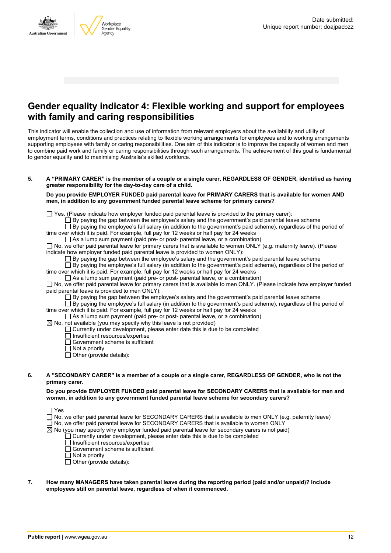

### **Gender equality indicator 4: Flexible working and support for employees with family and caring responsibilities**

This indicator will enable the collection and use of information from relevant employers about the availability and utility of employment terms, conditions and practices relating to flexible working arrangements for employees and to working arrangements supporting employees with family or caring responsibilities. One aim of this indicator is to improve the capacity of women and men to combine paid work and family or caring responsibilities through such arrangements. The achievement of this goal is fundamental to gender equality and to maximising Australia's skilled workforce.

#### 5. A "PRIMARY CARER" is the member of a couple or a single carer, REGARDLESS OF GENDER, identified as having **greater responsibility for the day-to-day care of a child.**

#### **Do you provide EMPLOYER FUNDED paid parental leave for PRIMARY CARERS that is available for women AND men, in addition to any government funded parental leave scheme for primary carers?**

 $\Box$  Yes. (Please indicate how employer funded paid parental leave is provided to the primary carer):

 $\Box$  By paying the gap between the employee's salary and the government's paid parental leave scheme

By paying the employee's full salary (in addition to the government's paid scheme), regardless of the period of time over which it is paid. For example, full pay for 12 weeks or half pay for 24 weeks

 $\Box$  As a lump sum payment (paid pre- or post- parental leave, or a combination)

 $\Box$  No, we offer paid parental leave for primary carers that is available to women ONLY (e.g. maternity leave). (Please indicate how employer funded paid parental leave is provided to women ONLY):

By paying the gap between the employee's salary and the government's paid parental leave scheme

 $\overline{\Box}$  By paying the employee's full salary (in addition to the government's paid scheme), regardless of the period of time over which it is paid. For example, full pay for 12 weeks or half pay for 24 weeks

 $\Box$  As a lump sum payment (paid pre- or post- parental leave, or a combination)

 $\Box$  No, we offer paid parental leave for primary carers that is available to men ONLY. (Please indicate how employer funded paid parental leave is provided to men ONLY):

 $\square$  By paying the gap between the employee's salary and the government's paid parental leave scheme

 $\Box$  By paying the employee's full salary (in addition to the government's paid scheme), regardless of the period of time over which it is paid. For example, full pay for 12 weeks or half pay for 24 weeks

 $\Box$  As a lump sum payment (paid pre- or post- parental leave, or a combination)

- $\boxtimes$  No, not available (you may specify why this leave is not provided)
	- Currently under development, please enter date this is due to be completed
	- $\Box$  Insufficient resources/expertise
	- Government scheme is sufficient
	- $\overline{\Box}$  Not a priority
	- $\Box$  Other (provide details):

#### 6. A "SECONDARY CARER" is a member of a couple or a single carer, REGARDLESS OF GENDER, who is not the **primary carer.**

**Do you provide EMPLOYER FUNDED paid parental leave for SECONDARY CARERS that is available for men and women, in addition to any government funded parental leave scheme for secondary carers?**

 $\Box$  No, we offer paid parental leave for SECONDARY CARERS that is available to men ONLY (e.g. paternity leave)

- $\square$  No, we offer paid parental leave for SECONDARY CARERS that is available to women ONLY
- $\boxtimes$  No (you may specify why employer funded paid parental leave for secondary carers is not paid)
	- Currently under development, please enter date this is due to be completed
		- Insufficient resources/expertise
	- Government scheme is sufficient
	- $\overline{\Box}$  Not a priority
	- $\Box$  Other (provide details):
- **7. How many MANAGERS have taken parental leave during the reporting period (paid and/or unpaid)? Include employees still on parental leave, regardless of when it commenced.**

 $\Box$  Yes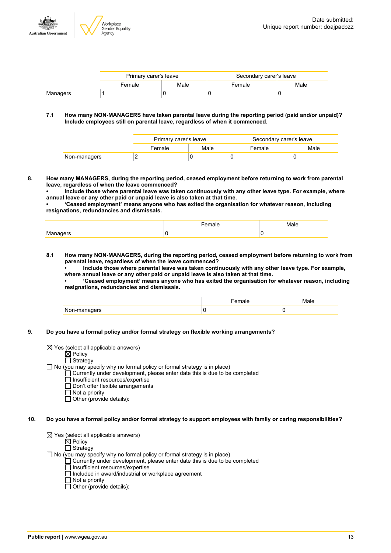

|          | Primary carer's leave |  | Secondary carer's leave |      |
|----------|-----------------------|--|-------------------------|------|
|          | Male<br>Female        |  | Female                  | Male |
| Managers |                       |  |                         |      |

#### **7.1 How many NON-MANAGERS have taken parental leave during the reporting period (paid and/or unpaid)? Include employees still on parental leave, regardless of when it commenced.**

|              | Primary carer's leave |      | Secondary carer's leave |      |  |
|--------------|-----------------------|------|-------------------------|------|--|
|              | Female                | Male | Female                  | Male |  |
| Non-managers |                       |      |                         |      |  |

**8. How many MANAGERS, during the reporting period, ceased employment before returning to work from parental leave, regardless of when the leave commenced?**

**• Include those where parental leave was taken continuously with any other leave type. For example, where annual leave or any other paid or unpaid leave is also taken at that time.**

**• 'Ceased employment' means anyone who has exited the organisation for whatever reason, including resignations, redundancies and dismissals.**

|          | - - -<br>male | aю |
|----------|---------------|----|
| Managers |               |    |

**8.1 How many NON-MANAGERS, during the reporting period, ceased employment before returning to work from parental leave, regardless of when the leave commenced?**

**• Include those where parental leave was taken continuously with any other leave type. For example, where annual leave or any other paid or unpaid leave is also taken at that time.**

**• 'Ceased employment' means anyone who has exited the organisation for whatever reason, including resignations, redundancies and dismissals.**

|                             | $\sim$ 100 $-$<br><b>Idit</b> |   |
|-----------------------------|-------------------------------|---|
| אומות<br>won-m.<br>$\cdots$ |                               | v |

**9. Do you have a formal policy and/or formal strategy on flexible working arrangements?**

 $\boxtimes$  Yes (select all applicable answers)

Policy

#### Strategy

 $\Box$  No (you may specify why no formal policy or formal strategy is in place)

- Currently under development, please enter date this is due to be completed
	- Insufficient resources/expertise
	- Don't offer flexible arrangements
	- $\overline{\Box}$  Not a priority

 $\overline{\Box}$  Other (provide details):

#### 10. Do you have a formal policy and/or formal strategy to support employees with family or caring responsibilities?

 $\boxtimes$  Yes (select all applicable answers)

 $\boxtimes$  Policy  $\Box$  Strategy

 $\Box$  No (you may specify why no formal policy or formal strategy is in place)

- Currently under development, please enter date this is due to be completed
- Insufficient resources/expertise
- $\Box$  Included in award/industrial or workplace agreement
- $\Box$  Not a priority
- $\Box$  Other (provide details):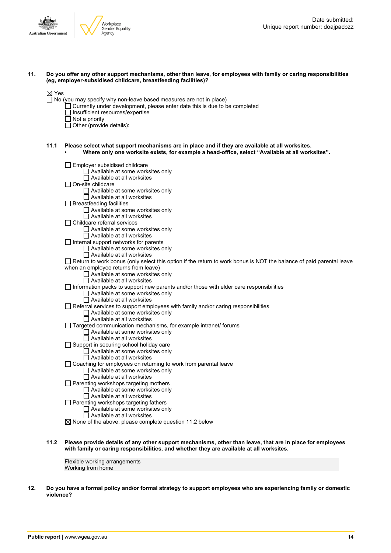



#### 11. Do you offer any other support mechanisms, other than leave, for employees with family or caring responsibilities **(eg, employer-subsidised childcare, breastfeeding facilities)?**

- $\Box$  No (you may specify why non-leave based measures are not in place)
	- Currently under development, please enter date this is due to be completed
	- $\Box$  Insufficient resources/expertise
	- $\Box$  Not a priority
	- $\Box$  Other (provide details):

#### **11.1 Please select what support mechanisms are in place and if they are available at all worksites. • Where only one worksite exists, for example a head-office, select "Available at all worksites".**

Employer subsidised childcare  $\Box$  Available at some worksites only  $\Box$  Available at all worksites  $\Box$  On-site childcare  $\Box$  Available at some worksites only  $\Box$  Available at all worksites  $\Box$  Breastfeeding facilities □ Available at some worksites only  $\Box$  Available at all worksites □ Childcare referral services Available at some worksites only Available at all worksites  $\Box$  Internal support networks for parents □ Available at some worksites only  $\Box$  Available at all worksites  $\Box$  Return to work bonus (only select this option if the return to work bonus is NOT the balance of paid parental leave when an employee returns from leave)  $\Box$  Available at some worksites only  $\Box$  Available at all worksites  $\Box$  Information packs to support new parents and/or those with elder care responsibilities  $\Box$  Available at some worksites only  $\Box$  Available at all worksites  $\Box$  Referral services to support employees with family and/or caring responsibilities □ Available at some worksites only  $\overline{\Box}$  Available at all worksites  $\Box$  Targeted communication mechanisms, for example intranet/ forums Available at some worksites only Available at all worksites □ Support in securing school holiday care □ Available at some worksites only  $\overline{\Box}$  Available at all worksites Coaching for employees on returning to work from parental leave  $\Box$  Available at some worksites only  $\Box$  Available at all worksites  $\Box$  Parenting workshops targeting mothers Available at some worksites only  $\Box$  Available at all worksites □ Parenting workshops targeting fathers □ Available at some worksites only  $\overline{\Box}$  Available at all worksites  $\boxtimes$  None of the above, please complete question 11.2 below

#### 11.2 Please provide details of any other support mechanisms, other than leave, that are in place for employees **with family or caring responsibilities, and whether they are available at all worksites.**

Flexible working arrangements Working from home

12. Do you have a formal policy and/or formal strategy to support employees who are experiencing family or domestic **violence?**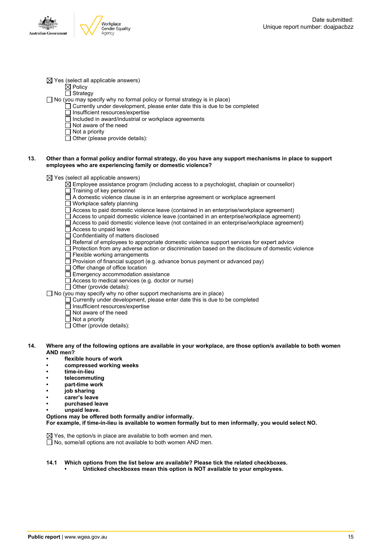$\boxtimes$  Yes (select all applicable answers)

 $\dot{\boxtimes}$  Policy

 $\Box$  Strategy

- □ No (you may specify why no formal policy or formal strategy is in place)
	- $\Box$  Currently under development, please enter date this is due to be completed
	- $\Box$  Insufficient resources/expertise
		- Included in award/industrial or workplace agreements
	- Not aware of the need
	- $\overline{\Box}$  Not a priority
	- $\Box$  Other (please provide details):

#### 13. Other than a formal policy and/or formal strategy, do you have any support mechanisms in place to support **employees who are experiencing family or domestic violence?**

 $\boxtimes$  Yes (select all applicable answers)

 $\boxtimes$  Employee assistance program (including access to a psychologist, chaplain or counsellor)

- $\overline{\Box}$  Training of key personnel
- $\Box$  A domestic violence clause is in an enterprise agreement or workplace agreement
- Workplace safety planning

 $\Box$  Access to paid domestic violence leave (contained in an enterprise/workplace agreement)

- Access to unpaid domestic violence leave (contained in an enterprise/workplace agreement)
- $\Box$  Access to paid domestic violence leave (not contained in an enterprise/workplace agreement)
- Access to unpaid leave
- Confidentiality of matters disclosed
- $\Box$  Referral of employees to appropriate domestic violence support services for expert advice
- $\Box$  Protection from any adverse action or discrimination based on the disclosure of domestic violence  $\Box$  Flexible working arrangements
- 
- $\Box$  Provision of financial support (e.g. advance bonus payment or advanced pay)
- $\overline{\Box}$  Offer change of office location
- $\Box$  Emergency accommodation assistance
- Access to medical services (e.g. doctor or nurse)
- Other (provide details):

 $\Box$  No (you may specify why no other support mechanisms are in place)

- $\Box$  Currently under development, please enter date this is due to be completed
- Insufficient resources/expertise
- $\overline{\Box}$  Not aware of the need
- $\overline{\Box}$  Not a priority
- $\Box$  Other (provide details):
- 14. Where any of the following options are available in your workplace, are those option/s available to both women **AND men?**
	- **• flexible hours of work**
	- **• compressed working weeks**
	- **• time-in-lieu**
	- **• telecommuting**
	- **• part-time work**
	- **• job sharing**
	- **• carer's leave**
	- **• purchased leave**
	- **• unpaid leave.**
	- **Options may be offered both formally and/or informally.**

**For example, if time-in-lieu is available to women formally but to men informally, you would select NO.**

 $\boxtimes$  Yes, the option/s in place are available to both women and men. □ No, some/all options are not available to both women AND men.

#### **14.1 Which options from the list below are available? Please tick the related checkboxes. • Unticked checkboxes mean this option is NOT available to your employees.**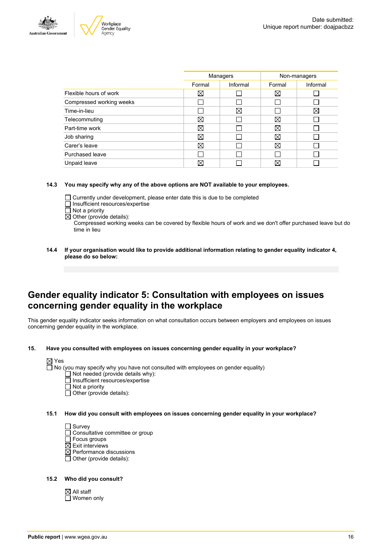



|                          | Managers |          | Non-managers |          |
|--------------------------|----------|----------|--------------|----------|
|                          | Formal   | Informal | Formal       | Informal |
| Flexible hours of work   | ⊠        |          | $\boxtimes$  |          |
| Compressed working weeks |          |          |              |          |
| Time-in-lieu             |          | X        |              | ⊠        |
| Telecommuting            | ⊠        |          | $\boxtimes$  |          |
| Part-time work           | ⊠        |          | $\boxtimes$  |          |
| Job sharing              | ⊠        |          | X            |          |
| Carer's leave            | ⊠        |          | $\boxtimes$  |          |
| Purchased leave          |          |          |              |          |
| Unpaid leave             | ⊠        |          | X            |          |
|                          |          |          |              |          |

#### **14.3 You may specify why any of the above options are NOT available to your employees.**

- Currently under development, please enter date this is due to be completed
- □ Insufficient resources/expertise
- $\overline{\Box}$  Not a priority
- $\overline{\boxtimes}$  Other (provide details):

Compressed working weeks can be covered by flexible hours of work and we don't offer purchased leave but do time in lieu

**14.4 If your organisation would like to provide additional information relating to gender equality indicator 4, please do so below:**

### **Gender equality indicator 5: Consultation with employees on issues concerning gender equality in the workplace**

This gender equality indicator seeks information on what consultation occurs between employers and employees on issues concerning gender equality in the workplace.

**15. Have you consulted with employees on issues concerning gender equality in your workplace?**



- Not a priority
- $\Box$  Other (provide details):
- **15.1 How did you consult with employees on issues concerning gender equality in your workplace?**

 $\Box$  Survey

- □ Consultative committee or group
- $\Box$  Focus groups
- $\boxtimes$  Exit interviews
- $\overline{\boxtimes}$  Performance discussions
- $\Box$  Other (provide details):

#### **15.2 Who did you consult?**

 $\boxtimes$  All staff □ Women only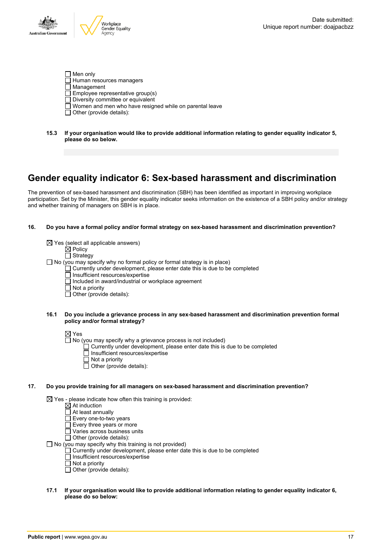

- $\Box$  Men only  $\Box$  Human resources managers  $\overline{\Box}$  Management  $\Box$  Employee representative group(s)  $\Box$  Diversity committee or equivalent Women and men who have resigned while on parental leave  $\Box$  Other (provide details):
- **15.3 If your organisation would like to provide additional information relating to gender equality indicator 5, please do so below.**

## **Gender equality indicator 6: Sex-based harassment and discrimination**

The prevention of sex-based harassment and discrimination (SBH) has been identified as important in improving workplace participation. Set by the Minister, this gender equality indicator seeks information on the existence of a SBH policy and/or strategy and whether training of managers on SBH is in place.

#### **16. Do you have a formal policy and/or formal strategy on sex-based harassment and discrimination prevention?**

| $\boxtimes$ Yes (select all applicable answers)                                   |
|-----------------------------------------------------------------------------------|
| $\boxtimes$ Policy                                                                |
| $\Box$ Strategy                                                                   |
| $\Box$ No (you may specify why no formal policy or formal strategy is in place)   |
| $\Box$ Currently under development, please enter date this is due to be completed |
| □ Insufficient resources/expertise                                                |
| $\Box$ Included in award/industrial or workplace agreement                        |
| $\Box$ Not a priority                                                             |
| $\Box$ Other (provide details):                                                   |
|                                                                                   |
|                                                                                   |

#### **16.1 Do you include a grievance process in any sex-based harassment and discrimination prevention formal policy and/or formal strategy?**

 $\boxtimes$  Yes

- $\Box$  No (you may specify why a grievance process is not included)
	- Currently under development, please enter date this is due to be completed
	- Insufficient resources/expertise
	- $\Box$  Not a priority
	- $\Box$  Other (provide details):

#### **17. Do you provide training for all managers on sex-based harassment and discrimination prevention?**

 $\boxtimes$  Yes - please indicate how often this training is provided:

- At induction
- At least annually
- Every one-to-two years
- $\square$  Every three years or more
- $\Box$  Varies across business units

 $\overline{\Box}$  Other (provide details):

 $\Box$  No (you may specify why this training is not provided)

- Currently under development, please enter date this is due to be completed
- Insufficient resources/expertise
- $\overline{\Pi}$  Not a priority
- $\Box$  Other (provide details):

#### **17.1 If your organisation would like to provide additional information relating to gender equality indicator 6, please do so below:**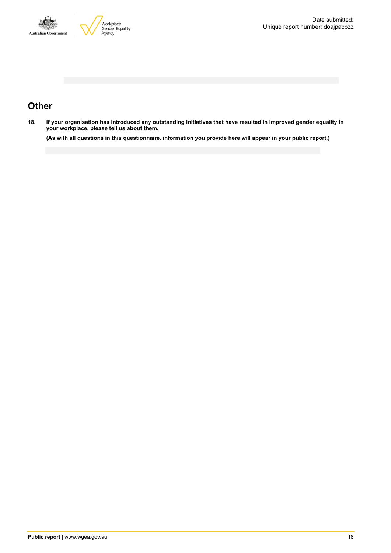



# **Other**

18. If your organisation has introduced any outstanding initiatives that have resulted in improved gender equality in **your workplace, please tell us about them.**

(As with all questions in this questionnaire, information you provide here will appear in your public report.)